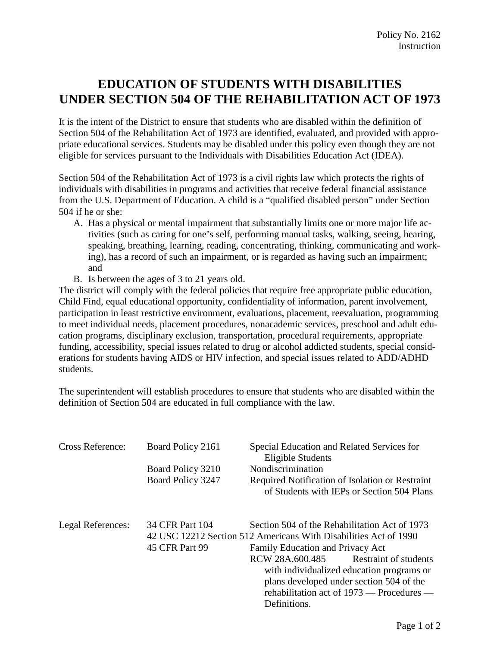## **EDUCATION OF STUDENTS WITH DISABILITIES UNDER SECTION 504 OF THE REHABILITATION ACT OF 1973**

It is the intent of the District to ensure that students who are disabled within the definition of Section 504 of the Rehabilitation Act of 1973 are identified, evaluated, and provided with appropriate educational services. Students may be disabled under this policy even though they are not eligible for services pursuant to the Individuals with Disabilities Education Act (IDEA).

Section 504 of the Rehabilitation Act of 1973 is a civil rights law which protects the rights of individuals with disabilities in programs and activities that receive federal financial assistance from the U.S. Department of Education. A child is a "qualified disabled person" under Section 504 if he or she:

- A. Has a physical or mental impairment that substantially limits one or more major life activities (such as caring for one's self, performing manual tasks, walking, seeing, hearing, speaking, breathing, learning, reading, concentrating, thinking, communicating and working), has a record of such an impairment, or is regarded as having such an impairment; and
- B. Is between the ages of 3 to 21 years old.

The district will comply with the federal policies that require free appropriate public education, Child Find, equal educational opportunity, confidentiality of information, parent involvement, participation in least restrictive environment, evaluations, placement, reevaluation, programming to meet individual needs, placement procedures, nonacademic services, preschool and adult education programs, disciplinary exclusion, transportation, procedural requirements, appropriate funding, accessibility, special issues related to drug or alcohol addicted students, special considerations for students having AIDS or HIV infection, and special issues related to ADD/ADHD students.

The superintendent will establish procedures to ensure that students who are disabled within the definition of Section 504 are educated in full compliance with the law.

| Cross Reference:  | Board Policy 2161 | Special Education and Related Services for<br>Eligible Students                               |
|-------------------|-------------------|-----------------------------------------------------------------------------------------------|
|                   | Board Policy 3210 | Nondiscrimination                                                                             |
|                   | Board Policy 3247 | Required Notification of Isolation or Restraint<br>of Students with IEPs or Section 504 Plans |
| Legal References: | 34 CFR Part 104   | Section 504 of the Rehabilitation Act of 1973                                                 |
|                   |                   | 42 USC 12212 Section 512 Americans With Disabilities Act of 1990                              |
|                   | 45 CFR Part 99    | Family Education and Privacy Act                                                              |
|                   |                   | <b>Restraint of students</b><br>RCW 28A.600.485                                               |
|                   |                   | with individualized education programs or                                                     |
|                   |                   | plans developed under section 504 of the                                                      |
|                   |                   | rehabilitation act of 1973 — Procedures —                                                     |
|                   |                   | Definitions.                                                                                  |